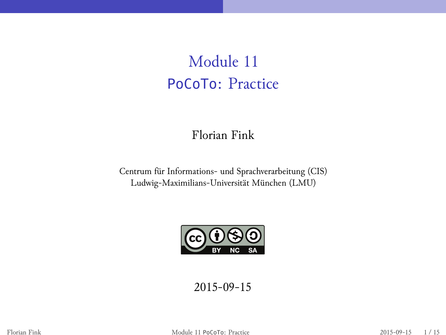# Module 11 PoCoTo: Practice

Florian Fink

Centrum für Informations- und Sprachverarbeitung (CIS) Ludwig-Maximilians-Universität München (LMU)



2015-09-15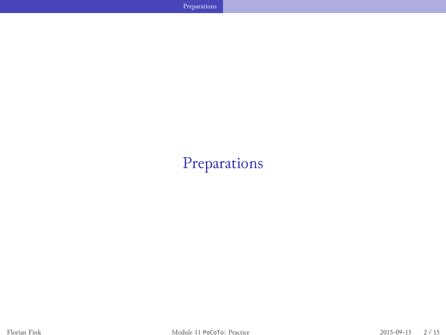**Preparations** 

# Preparations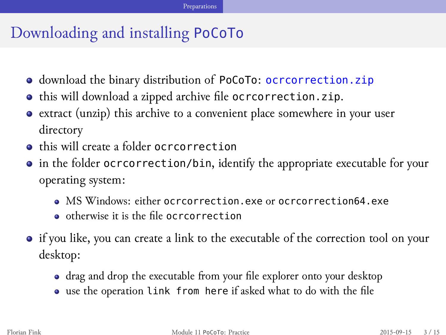### Preparations

# Downloading and installing PoCoTo

- download the binary distribution of PoCoTo: ocrcorrection.zip
- $\bullet$  this will download a zipped archive file ocrcorrection.zip.
- extract (unzip) this archive to a convenient place somewhere in your user directory
- $\bullet$  this will create a folder ocrcorrection
- in the folder ocrcorrection/bin, identify the appropriate executable for your operating system:
	- MS Windows: either ocrcorrection.exe or ocrcorrection64.exe
	- otherwise it is the file ocrcorrection
- $\bullet\,$  if you like, you can create a link to the executable of the correction tool on your desktop:
	- drag and drop the executable from your file explorer onto your desktop
	- use the operation link from here if asked what to do with the file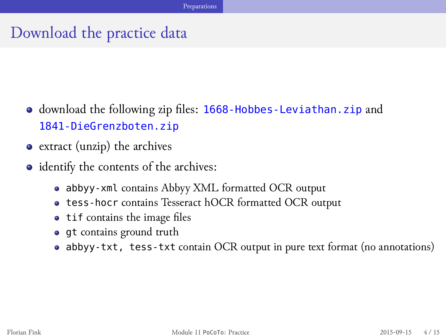## Preparations

Download the practice data

- download the following zip files: 1668-Hobbes-Leviathan.zip and 1841-DieGrenzboten.zip
- extract (unzip) the archives
- identify the contents of the archives:
	- $\bullet~$ abbyy-xml contains Abbyy XML formatted OCR output
	- tess-hocr contains Tesseract hOCR formatted OCR output
	- tif contains the image files
	- gt contains ground truth
	- abbyy-txt, tess-txt contain OCR output in pure text format (no annotations)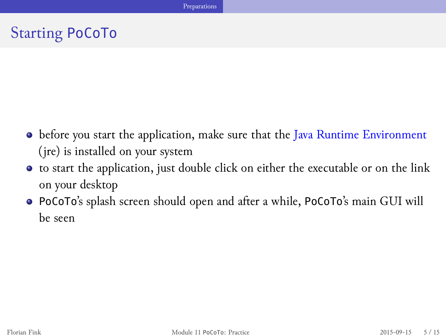# Starting PoCoTo

before you start the application, make sure that the Java Runtime Environment (jre) is installed on your system

Preparations

- to start the application, just double click on either the executable or on the link on your desktop
- PoCoTo's splash screen should open and after a while, PoCoTo's main GUI will be seen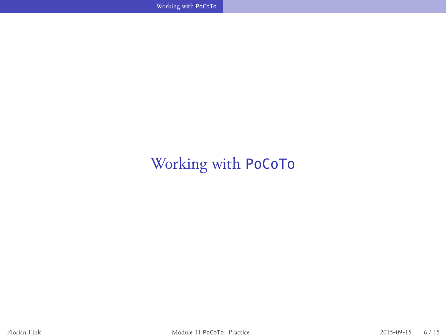Working with PoCoTo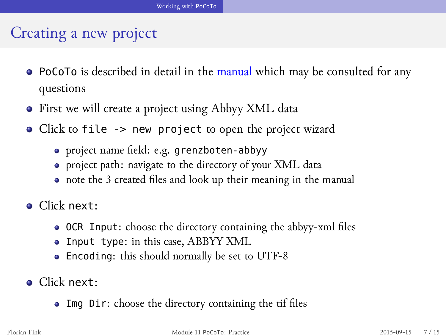# Creating a new project

- PoCoTo is described in detail in the manual which may be consulted for any questions
- First we will create a project using Abbyy XML data
- Click to file -> new project to open the project wizard
	- project name field: e.g. grenzboten-abbyy
	- project path: navigate to the directory of your XML data
	- note the 3 created files and look up their meaning in the manual
- Click next:
	- OCR Input: choose the directory containing the abbyy-xml files
	- Input type: in this case, ABBYY XML
	- Encoding: this should normally be set to UTF-8
- **·** Click next:
	- Img Dir: choose the directory containing the tif files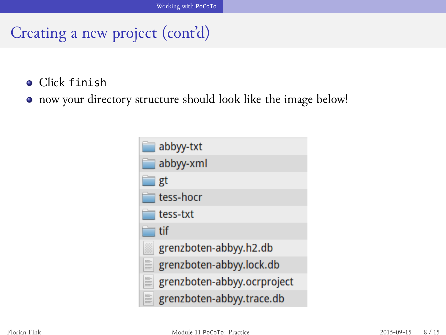Creating a new project (cont'd)

- Click finish
- now your directory structure should look like the image below!

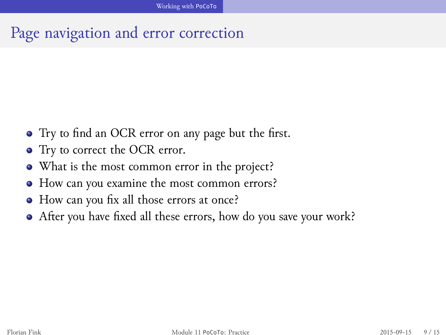Page navigation and error correction

- Try to find an OCR error on any page but the first.
- Try to correct the OCR error.
- What is the most common error in the project?
- How can you examine the most common errors?
- How can you fix all those errors at once?
- After you have fixed all these errors, how do you save your work?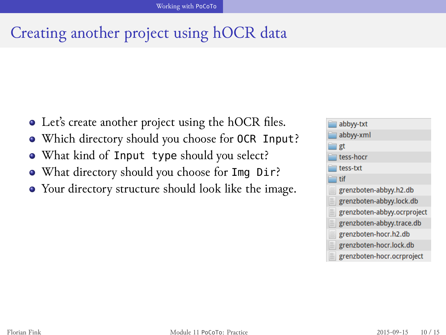Creating another project using hOCR data

- Let's create another project using the hOCR files.
- Which directory should you choose for OCR Input?
- What kind of Input type should you select?
- What directory should you choose for Img Dir?
- Your directory structure should look like the image.

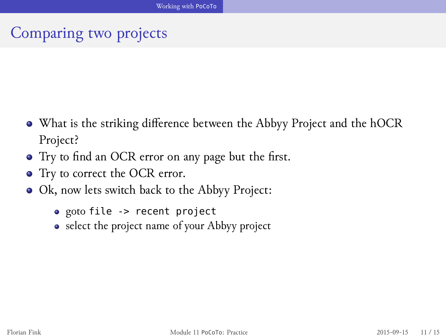Comparing two projects

- What is the striking difference between the Abbyy Project and the hOCR Project?
- Try to find an OCR error on any page but the first.
- Try to correct the OCR error.
- Ok, now lets switch back to the Abbyy Project:
	- goto file -> recent project
	- select the project name of your Abbyy project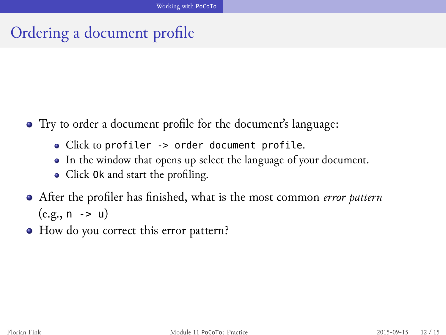Ordering a document profile

- Try to order a document profile for the document's language:
	- Click to profiler -> order document profile.
	- In the window that opens up select the language of your document.
	- Click Ok and start the profiling.
- After the profiler has finished, what is the most common *error pattern* (e.g., n -> u)
- How do you correct this error pattern?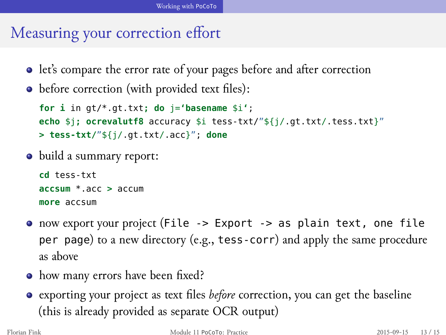# Measuring your correction effort

- let's compare the error rate of your pages before and after correction
- before correction (with provided text files):

```
for i in gt/*.gt.txt; do j='basename $i';
echo $j; ocrevalutf8 accuracy $i tess-txt/"${j/.gt.txt/.tess.txt}"
> tess-txt/"${j/.gt.txt/.acc}"; done
```
• build a summary report:

```
cd tess-txt
accsum *.acc > accum
more accsum
```
- now export your project (File -> Export -> as plain text, one file per page) to a new directory (e.g., tess-corr) and apply the same procedure as above
- how many errors have been fixed?
- exporting your project as text files *before* correction, you can get the baseline (this is already provided as separate OCR output)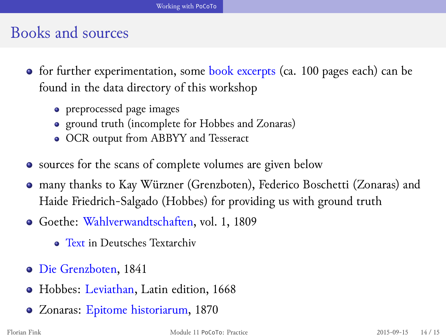# Books and sources

- for further experimentation, some book excerpts (ca. 100 pages each) can be found in the data directory of this workshop
	- preprocessed page images
	- ground truth (incomplete for Hobbes and Zonaras)
	- OCR output from ABBYY and Tesseract
- sources for the scans of complete volumes are given below
- many thanks to Kay Würzner (Grenzboten), Federico Boschetti (Zonaras) and Haide Friedrich-Salgado (Hobbes) for providing us with ground truth
- Goethe: Wahlverwandtschaften, vol. 1, 1809
	- **Text in Deutsches Textarchiv**
- Die Grenzboten, 1841
- Hobbes: Leviathan, Latin edition, 1668
- Zonaras: Epitome historiarum, 1870